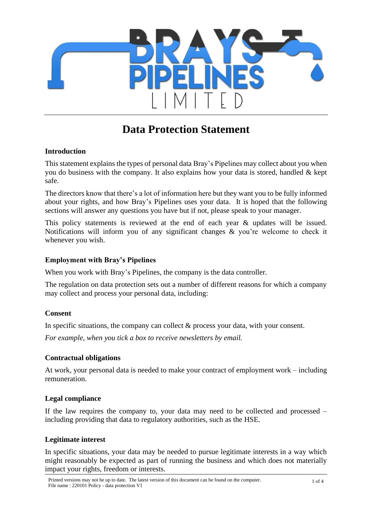

# **Data Protection Statement**

#### **Introduction**

This statement explains the types of personal data Bray's Pipelines may collect about you when you do business with the company. It also explains how your data is stored, handled & kept safe.

The directors know that there's a lot of information here but they want you to be fully informed about your rights, and how Bray's Pipelines uses your data. It is hoped that the following sections will answer any questions you have but if not, please speak to your manager.

This policy statements is reviewed at the end of each year & updates will be issued. Notifications will inform you of any significant changes & you're welcome to check it whenever you wish.

#### **Employment with Bray's Pipelines**

When you work with Bray's Pipelines, the company is the data controller.

The regulation on data protection sets out a number of different reasons for which a company may collect and process your personal data, including:

#### **Consent**

In specific situations, the company can collect  $\&$  process your data, with your consent.

*For example, when you tick a box to receive newsletters by email.*

#### **Contractual obligations**

At work, your personal data is needed to make your contract of employment work – including remuneration.

#### **Legal compliance**

If the law requires the company to, your data may need to be collected and processed – including providing that data to regulatory authorities, such as the HSE.

## **Legitimate interest**

In specific situations, your data may be needed to pursue legitimate interests in a way which might reasonably be expected as part of running the business and which does not materially impact your rights, freedom or interests.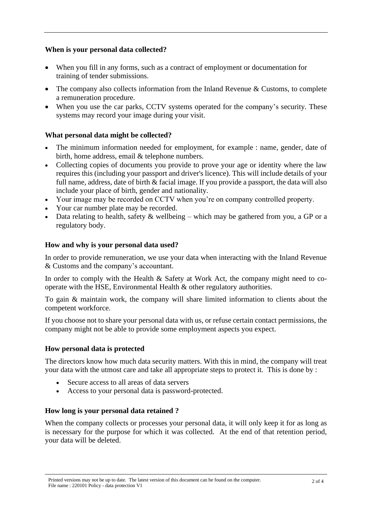## **When is your personal data collected?**

- When you fill in any forms, such as a contract of employment or documentation for training of tender submissions.
- The company also collects information from the Inland Revenue & Customs, to complete a remuneration procedure.
- When you use the car parks, CCTV systems operated for the company's security. These systems may record your image during your visit.

## **What personal data might be collected?**

- The minimum information needed for employment, for example : name, gender, date of birth, home address, email & telephone numbers.
- Collecting copies of documents you provide to prove your age or identity where the law requires this (including your passport and driver's licence). This will include details of your full name, address, date of birth & facial image. If you provide a passport, the data will also include your place of birth, gender and nationality.
- Your image may be recorded on CCTV when you're on company controlled property.
- Your car number plate may be recorded.
- Data relating to health, safety  $&$  wellbeing which may be gathered from you, a GP or a regulatory body.

## **How and why is your personal data used?**

In order to provide remuneration, we use your data when interacting with the Inland Revenue & Customs and the company's accountant.

In order to comply with the Health & Safety at Work Act, the company might need to cooperate with the HSE, Environmental Health & other regulatory authorities.

To gain & maintain work, the company will share limited information to clients about the competent workforce.

If you choose not to share your personal data with us, or refuse certain contact permissions, the company might not be able to provide some employment aspects you expect.

## **How personal data is protected**

The directors know how much data security matters. With this in mind, the company will treat your data with the utmost care and take all appropriate steps to protect it. This is done by :

- Secure access to all areas of data servers
- Access to your personal data is password-protected.

## **How long is your personal data retained ?**

When the company collects or processes your personal data, it will only keep it for as long as is necessary for the purpose for which it was collected. At the end of that retention period, your data will be deleted.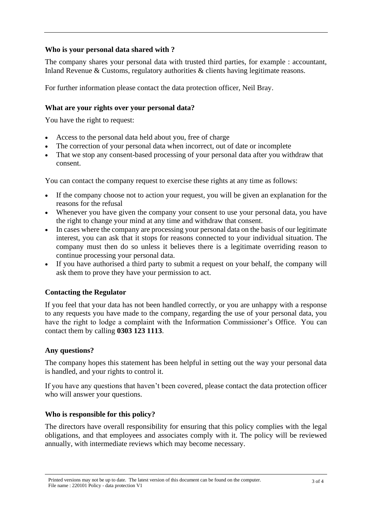### **Who is your personal data shared with ?**

The company shares your personal data with trusted third parties, for example : accountant, Inland Revenue & Customs, regulatory authorities & clients having legitimate reasons.

For further information please contact the data protection officer, Neil Bray.

#### **What are your rights over your personal data?**

You have the right to request:

- Access to the personal data held about you, free of charge
- The correction of your personal data when incorrect, out of date or incomplete
- That we stop any consent-based processing of your personal data after you withdraw that consent.

You can contact the company request to exercise these rights at any time as follows:

- If the company choose not to action your request, you will be given an explanation for the reasons for the refusal
- Whenever you have given the company your consent to use your personal data, you have the right to change your mind at any time and withdraw that consent.
- In cases where the company are processing your personal data on the basis of our legitimate interest, you can ask that it stops for reasons connected to your individual situation. The company must then do so unless it believes there is a legitimate overriding reason to continue processing your personal data.
- If you have authorised a third party to submit a request on your behalf, the company will ask them to prove they have your permission to act.

## **Contacting the Regulator**

If you feel that your data has not been handled correctly, or you are unhappy with a response to any requests you have made to the company, regarding the use of your personal data, you have the right to lodge a complaint with the Information Commissioner's Office. You can contact them by calling **0303 123 1113**.

## **Any questions?**

The company hopes this statement has been helpful in setting out the way your personal data is handled, and your rights to control it.

If you have any questions that haven't been covered, please contact the data protection officer who will answer your questions.

## **Who is responsible for this policy?**

The directors have overall responsibility for ensuring that this policy complies with the legal obligations, and that employees and associates comply with it. The policy will be reviewed annually, with intermediate reviews which may become necessary.